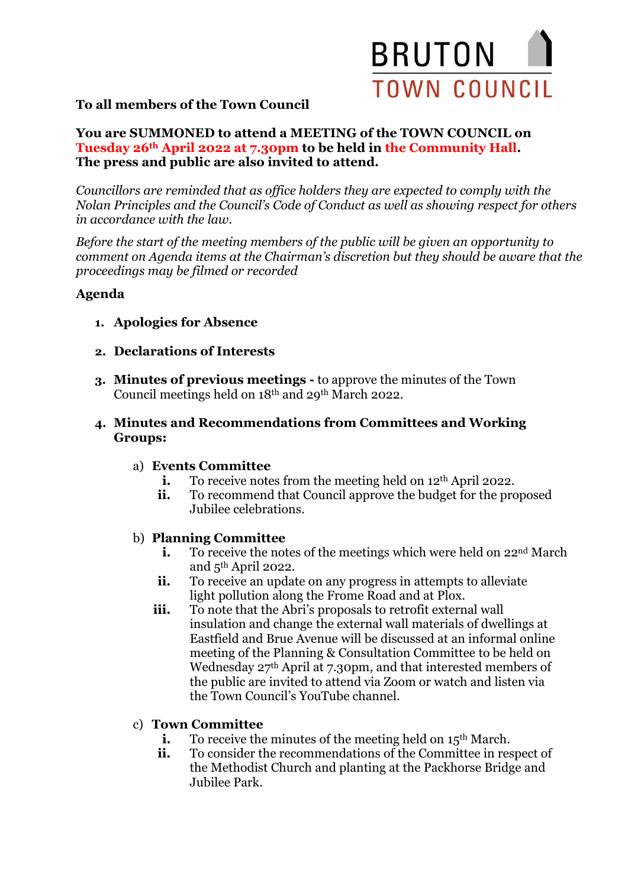

## **To all members of the Town Council**

#### **You are SUMMONED to attend a MEETING of the TOWN COUNCIL on Tuesday 26th April 2022 at 7.30pm to be held in the Community Hall. The press and public are also invited to attend.**

*Councillors are reminded that as office holders they are expected to comply with the Nolan Principles and the Council's Code of Conduct as well as showing respect for others in accordance with the law.*

*Before the start of the meeting members of the public will be given an opportunity to comment on Agenda items at the Chairman's discretion but they should be aware that the proceedings may be filmed or recorded*

### **Agenda**

- **1. Apologies for Absence**
- **2. Declarations of Interests**
- **3. Minutes of previous meetings -** to approve the minutes of the Town Council meetings held on 18th and 29th March 2022.
- **4. Minutes and Recommendations from Committees and Working Groups:**
	- a) **Events Committee**
		- **i.** To receive notes from the meeting held on 12<sup>th</sup> April 2022.
		- **ii.** To recommend that Council approve the budget for the proposed Jubilee celebrations.

#### b) **Planning Committee**

- **i.** To receive the notes of the meetings which were held on 22<sup>nd</sup> March and 5th April 2022.
- **ii.** To receive an update on any progress in attempts to alleviate light pollution along the Frome Road and at Plox.
- **iii.** To note that the Abri's proposals to retrofit external wall insulation and change the external wall materials of dwellings at Eastfield and Brue Avenue will be discussed at an informal online meeting of the Planning & Consultation Committee to be held on Wednesday 27<sup>th</sup> April at 7.30pm, and that interested members of the public are invited to attend via Zoom or watch and listen via the Town Council's YouTube channel.

#### c) **Town Committee**

- **i.** To receive the minutes of the meeting held on 15<sup>th</sup> March.
- ii. To consider the recommendations of the Committee in respect of the Methodist Church and planting at the Packhorse Bridge and Jubilee Park.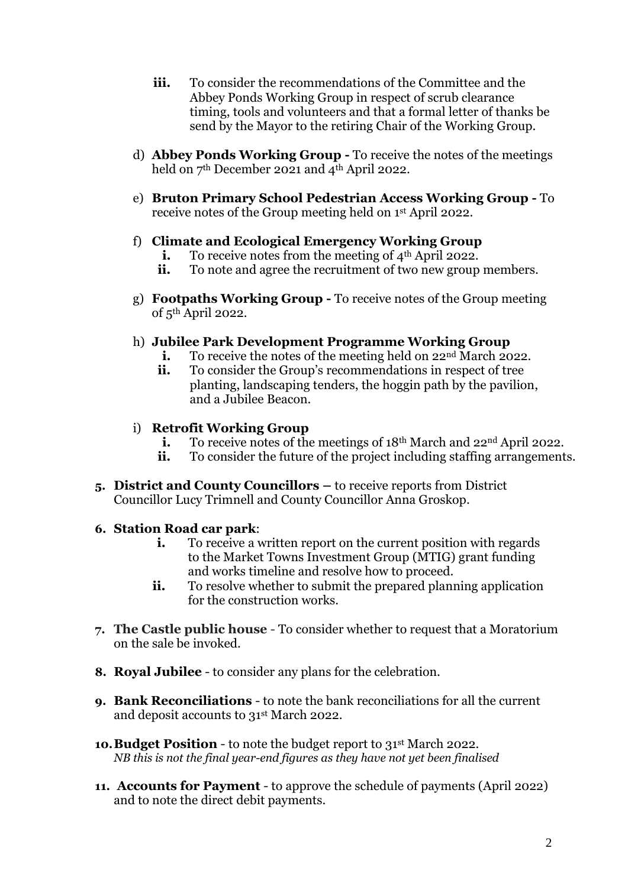- **iii.** To consider the recommendations of the Committee and the Abbey Ponds Working Group in respect of scrub clearance timing, tools and volunteers and that a formal letter of thanks be send by the Mayor to the retiring Chair of the Working Group.
- d) **Abbey Ponds Working Group -** To receive the notes of the meetings held on 7<sup>th</sup> December 2021 and 4<sup>th</sup> April 2022.
- e) **Bruton Primary School Pedestrian Access Working Group -** To receive notes of the Group meeting held on 1st April 2022.

### f) **Climate and Ecological Emergency Working Group**

- **i.** To receive notes from the meeting of 4<sup>th</sup> April 2022.
- **ii.** To note and agree the recruitment of two new group members.
- g) **Footpaths Working Group -** To receive notes of the Group meeting of 5th April 2022.

### h) **Jubilee Park Development Programme Working Group**

- **i.** To receive the notes of the meeting held on 22<sup>nd</sup> March 2022.
- **ii.** To consider the Group's recommendations in respect of tree planting, landscaping tenders, the hoggin path by the pavilion, and a Jubilee Beacon.

### i) **Retrofit Working Group**

- **i.** To receive notes of the meetings of 18<sup>th</sup> March and 22<sup>nd</sup> April 2022.
- **ii.** To consider the future of the project including staffing arrangements.
- **5. District and County Councillors –** to receive reports from District Councillor Lucy Trimnell and County Councillor Anna Groskop.

# **6. Station Road car park**:

- **i.** To receive a written report on the current position with regards to the Market Towns Investment Group (MTIG) grant funding and works timeline and resolve how to proceed.
- **ii.** To resolve whether to submit the prepared planning application for the construction works.
- **7. The Castle public house**  To consider whether to request that a Moratorium on the sale be invoked.
- **8. Royal Jubilee**  to consider any plans for the celebration.
- **9. Bank Reconciliations** to note the bank reconciliations for all the current and deposit accounts to 31st March 2022.
- 10. Budget Position to note the budget report to 31st March 2022. *NB this is not the final year-end figures as they have not yet been finalised*
- **11. Accounts for Payment** to approve the schedule of payments (April 2022) and to note the direct debit payments.